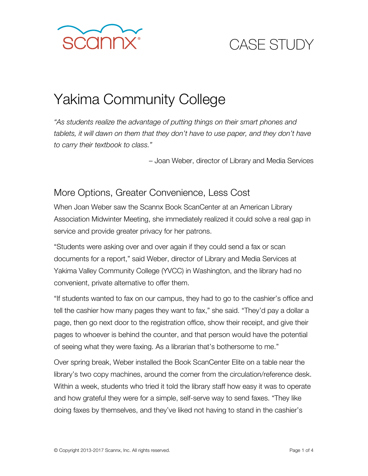

## CASE STUDY

# Yakima Community College

*"As students realize the advantage of putting things on their smart phones and tablets, it will dawn on them that they don't have to use paper, and they don't have to carry their textbook to class."*

– Joan Weber, director of Library and Media Services

#### More Options, Greater Convenience, Less Cost

When Joan Weber saw the Scannx Book ScanCenter at an American Library Association Midwinter Meeting, she immediately realized it could solve a real gap in service and provide greater privacy for her patrons.

"Students were asking over and over again if they could send a fax or scan documents for a report," said Weber, director of Library and Media Services at Yakima Valley Community College (YVCC) in Washington, and the library had no convenient, private alternative to offer them.

"If students wanted to fax on our campus, they had to go to the cashier's office and tell the cashier how many pages they want to fax," she said. "They'd pay a dollar a page, then go next door to the registration office, show their receipt, and give their pages to whoever is behind the counter, and that person would have the potential of seeing what they were faxing. As a librarian that's bothersome to me."

Over spring break, Weber installed the Book ScanCenter Elite on a table near the library's two copy machines, around the corner from the circulation/reference desk. Within a week, students who tried it told the library staff how easy it was to operate and how grateful they were for a simple, self-serve way to send faxes. "They like doing faxes by themselves, and they've liked not having to stand in the cashier's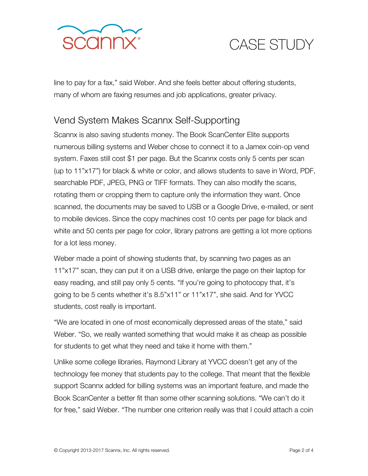



line to pay for a fax," said Weber. And she feels better about offering students, many of whom are faxing resumes and job applications, greater privacy.

#### Vend System Makes Scannx Self-Supporting

Scannx is also saving students money. The Book ScanCenter Elite supports numerous billing systems and Weber chose to connect it to a Jamex coin-op vend system. Faxes still cost \$1 per page. But the Scannx costs only 5 cents per scan (up to 11"x17") for black & white or color, and allows students to save in Word, PDF, searchable PDF, JPEG, PNG or TIFF formats. They can also modify the scans, rotating them or cropping them to capture only the information they want. Once scanned, the documents may be saved to USB or a Google Drive, e-mailed, or sent to mobile devices. Since the copy machines cost 10 cents per page for black and white and 50 cents per page for color, library patrons are getting a lot more options for a lot less money.

Weber made a point of showing students that, by scanning two pages as an 11"x17" scan, they can put it on a USB drive, enlarge the page on their laptop for easy reading, and still pay only 5 cents. "If you're going to photocopy that, it's going to be 5 cents whether it's 8.5"x11" or 11"x17", she said. And for YVCC students, cost really is important.

"We are located in one of most economically depressed areas of the state," said Weber. "So, we really wanted something that would make it as cheap as possible for students to get what they need and take it home with them."

Unlike some college libraries, Raymond Library at YVCC doesn't get any of the technology fee money that students pay to the college. That meant that the flexible support Scannx added for billing systems was an important feature, and made the Book ScanCenter a better fit than some other scanning solutions. "We can't do it for free," said Weber. "The number one criterion really was that I could attach a coin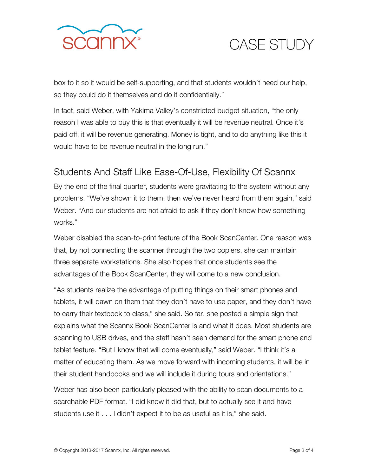



box to it so it would be self-supporting, and that students wouldn't need our help, so they could do it themselves and do it confidentially."

In fact, said Weber, with Yakima Valley's constricted budget situation, "the only reason I was able to buy this is that eventually it will be revenue neutral. Once it's paid off, it will be revenue generating. Money is tight, and to do anything like this it would have to be revenue neutral in the long run."

### Students And Staff Like Ease-Of-Use, Flexibility Of Scannx

By the end of the final quarter, students were gravitating to the system without any problems. "We've shown it to them, then we've never heard from them again," said Weber. "And our students are not afraid to ask if they don't know how something works."

Weber disabled the scan-to-print feature of the Book ScanCenter. One reason was that, by not connecting the scanner through the two copiers, she can maintain three separate workstations. She also hopes that once students see the advantages of the Book ScanCenter, they will come to a new conclusion.

"As students realize the advantage of putting things on their smart phones and tablets, it will dawn on them that they don't have to use paper, and they don't have to carry their textbook to class," she said. So far, she posted a simple sign that explains what the Scannx Book ScanCenter is and what it does. Most students are scanning to USB drives, and the staff hasn't seen demand for the smart phone and tablet feature. "But I know that will come eventually," said Weber. "I think it's a matter of educating them. As we move forward with incoming students, it will be in their student handbooks and we will include it during tours and orientations."

Weber has also been particularly pleased with the ability to scan documents to a searchable PDF format. "I did know it did that, but to actually see it and have students use it . . . I didn't expect it to be as useful as it is," she said.